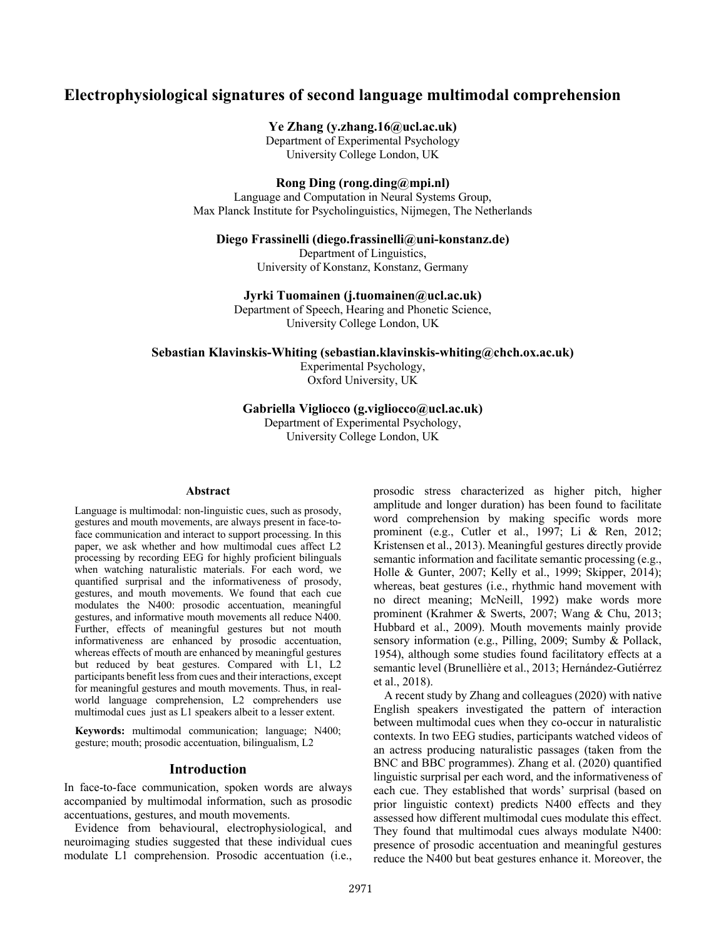# **Electrophysiological signatures of second language multimodal comprehension**

**Ye Zhang (y.zhang.16@ucl.ac.uk)**

Department of Experimental Psychology University College London, UK

**Rong Ding (rong.ding@mpi.nl)**

Language and Computation in Neural Systems Group, Max Planck Institute for Psycholinguistics, Nijmegen, The Netherlands

#### **Diego Frassinelli (diego.frassinelli@uni-konstanz.de)**

Department of Linguistics, University of Konstanz, Konstanz, Germany

**Jyrki Tuomainen (j.tuomainen@ucl.ac.uk)**

Department of Speech, Hearing and Phonetic Science, University College London, UK

**Sebastian Klavinskis-Whiting (sebastian.klavinskis-whiting@chch.ox.ac.uk)**

Experimental Psychology, Oxford University, UK

#### **Gabriella Vigliocco (g.vigliocco@ucl.ac.uk)**

Department of Experimental Psychology, University College London, UK

#### **Abstract**

Language is multimodal: non-linguistic cues, such as prosody, gestures and mouth movements, are always present in face-toface communication and interact to support processing. In this paper, we ask whether and how multimodal cues affect L2 processing by recording EEG for highly proficient bilinguals when watching naturalistic materials. For each word, we quantified surprisal and the informativeness of prosody, gestures, and mouth movements. We found that each cue modulates the N400: prosodic accentuation, meaningful gestures, and informative mouth movements all reduce N400. Further, effects of meaningful gestures but not mouth informativeness are enhanced by prosodic accentuation, whereas effects of mouth are enhanced by meaningful gestures but reduced by beat gestures. Compared with L1, L2 participants benefit less from cues and their interactions, except for meaningful gestures and mouth movements. Thus, in realworld language comprehension, L2 comprehenders use multimodal cues just as L1 speakers albeit to a lesser extent.

**Keywords:** multimodal communication; language; N400; gesture; mouth; prosodic accentuation, bilingualism, L2

#### **Introduction**

In face-to-face communication, spoken words are always accompanied by multimodal information, such as prosodic accentuations, gestures, and mouth movements.

Evidence from behavioural, electrophysiological, and neuroimaging studies suggested that these individual cues modulate L1 comprehension. Prosodic accentuation (i.e., prosodic stress characterized as higher pitch, higher amplitude and longer duration) has been found to facilitate word comprehension by making specific words more prominent (e.g., Cutler et al., 1997; Li & Ren, 2012; Kristensen et al., 2013). Meaningful gestures directly provide semantic information and facilitate semantic processing (e.g., Holle & Gunter, 2007; Kelly et al., 1999; Skipper, 2014); whereas, beat gestures (i.e., rhythmic hand movement with no direct meaning; McNeill, 1992) make words more prominent (Krahmer & Swerts, 2007; Wang & Chu, 2013; Hubbard et al., 2009). Mouth movements mainly provide sensory information (e.g., Pilling, 2009; Sumby & Pollack, 1954), although some studies found facilitatory effects at a semantic level (Brunellière et al., 2013; Hernández-Gutiérrez et al., 2018).

A recent study by Zhang and colleagues (2020) with native English speakers investigated the pattern of interaction between multimodal cues when they co-occur in naturalistic contexts. In two EEG studies, participants watched videos of an actress producing naturalistic passages (taken from the BNC and BBC programmes). Zhang et al. (2020) quantified linguistic surprisal per each word, and the informativeness of each cue. They established that words' surprisal (based on prior linguistic context) predicts N400 effects and they assessed how different multimodal cues modulate this effect. They found that multimodal cues always modulate N400: presence of prosodic accentuation and meaningful gestures reduce the N400 but beat gestures enhance it. Moreover, the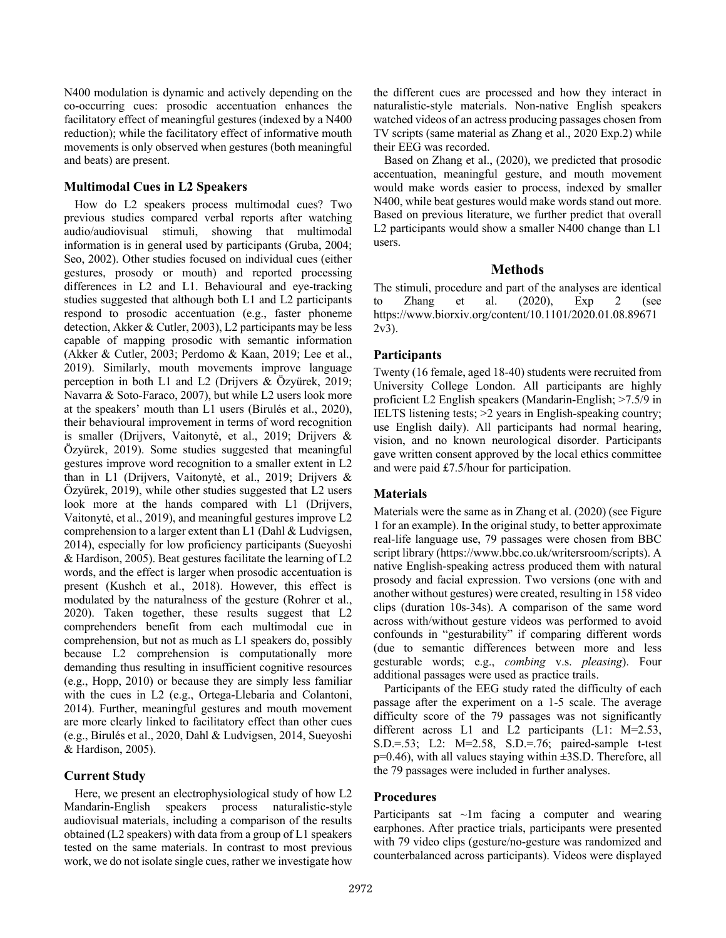N400 modulation is dynamic and actively depending on the co-occurring cues: prosodic accentuation enhances the facilitatory effect of meaningful gestures (indexed by a N400 reduction); while the facilitatory effect of informative mouth movements is only observed when gestures (both meaningful and beats) are present.

#### **Multimodal Cues in L2 Speakers**

How do L2 speakers process multimodal cues? Two previous studies compared verbal reports after watching audio/audiovisual stimuli, showing that multimodal information is in general used by participants (Gruba, 2004; Seo, 2002). Other studies focused on individual cues (either gestures, prosody or mouth) and reported processing differences in L2 and L1. Behavioural and eye-tracking studies suggested that although both L1 and L2 participants respond to prosodic accentuation (e.g., faster phoneme detection, Akker & Cutler, 2003), L2 participants may be less capable of mapping prosodic with semantic information (Akker & Cutler, 2003; Perdomo & Kaan, 2019; Lee et al., 2019). Similarly, mouth movements improve language perception in both L1 and L2 (Drijvers & Özyürek, 2019; Navarra & Soto-Faraco, 2007), but while L2 users look more at the speakers' mouth than L1 users (Birulés et al., 2020), their behavioural improvement in terms of word recognition is smaller (Drijvers, Vaitonytė, et al., 2019; Drijvers & Özyürek, 2019). Some studies suggested that meaningful gestures improve word recognition to a smaller extent in L2 than in L1 (Drijvers, Vaitonytė, et al., 2019; Drijvers & Özyürek, 2019), while other studies suggested that L2 users look more at the hands compared with L1 (Drijvers, Vaitonytė, et al., 2019), and meaningful gestures improve L2 comprehension to a larger extent than L1 (Dahl & Ludvigsen, 2014), especially for low proficiency participants (Sueyoshi & Hardison, 2005). Beat gestures facilitate the learning of L2 words, and the effect is larger when prosodic accentuation is present (Kushch et al., 2018). However, this effect is modulated by the naturalness of the gesture (Rohrer et al., 2020). Taken together, these results suggest that L2 comprehenders benefit from each multimodal cue in comprehension, but not as much as L1 speakers do, possibly because L2 comprehension is computationally more demanding thus resulting in insufficient cognitive resources (e.g., Hopp, 2010) or because they are simply less familiar with the cues in L2 (e.g., Ortega-Llebaria and Colantoni, 2014). Further, meaningful gestures and mouth movement are more clearly linked to facilitatory effect than other cues (e.g., Birulés et al., 2020, Dahl & Ludvigsen, 2014, Sueyoshi & Hardison, 2005).

### **Current Study**

Here, we present an electrophysiological study of how L2 Mandarin-English speakers process naturalistic-style audiovisual materials, including a comparison of the results obtained (L2 speakers) with data from a group of L1 speakers tested on the same materials. In contrast to most previous work, we do not isolate single cues, rather we investigate how the different cues are processed and how they interact in naturalistic-style materials. Non-native English speakers watched videos of an actress producing passages chosen from TV scripts (same material as Zhang et al., 2020 Exp.2) while their EEG was recorded.

Based on Zhang et al., (2020), we predicted that prosodic accentuation, meaningful gesture, and mouth movement would make words easier to process, indexed by smaller N400, while beat gestures would make words stand out more. Based on previous literature, we further predict that overall L2 participants would show a smaller N400 change than L1 users.

# **Methods**

The stimuli, procedure and part of the analyses are identical to Zhang et al. (2020), Exp 2 (see https://www.biorxiv.org/content/10.1101/2020.01.08.89671 2v3).

# **Participants**

Twenty (16 female, aged 18-40) students were recruited from University College London. All participants are highly proficient L2 English speakers (Mandarin-English; >7.5/9 in IELTS listening tests; >2 years in English-speaking country; use English daily). All participants had normal hearing, vision, and no known neurological disorder. Participants gave written consent approved by the local ethics committee and were paid £7.5/hour for participation.

### **Materials**

Materials were the same as in Zhang et al. (2020) (see Figure 1 for an example). In the original study, to better approximate real-life language use, 79 passages were chosen from BBC script library (https://www.bbc.co.uk/writersroom/scripts). A native English-speaking actress produced them with natural prosody and facial expression. Two versions (one with and another without gestures) were created, resulting in 158 video clips (duration 10s-34s). A comparison of the same word across with/without gesture videos was performed to avoid confounds in "gesturability" if comparing different words (due to semantic differences between more and less gesturable words; e.g., *combing* v.s. *pleasing*). Four additional passages were used as practice trails.

Participants of the EEG study rated the difficulty of each passage after the experiment on a 1-5 scale. The average difficulty score of the 79 passages was not significantly different across L1 and L2 participants (L1: M=2.53, S.D.=.53; L2: M=2.58, S.D.=.76; paired-sample t-test  $p=0.46$ ), with all values staying within  $\pm 3$ S.D. Therefore, all the 79 passages were included in further analyses.

### **Procedures**

Participants sat  $\sim$ 1m facing a computer and wearing earphones. After practice trials, participants were presented with 79 video clips (gesture/no-gesture was randomized and counterbalanced across participants). Videos were displayed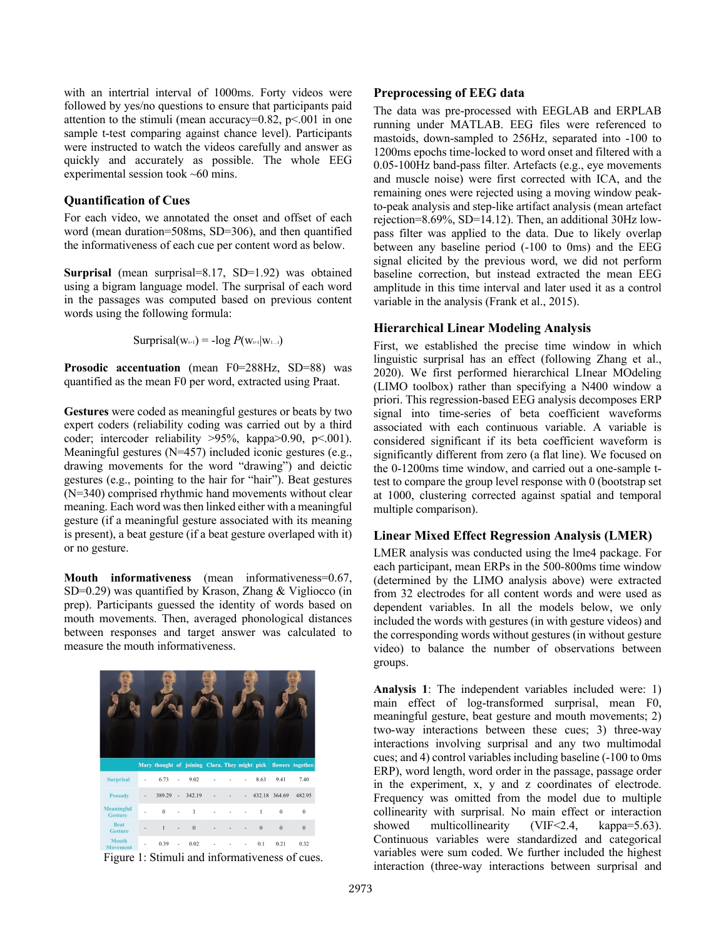with an intertrial interval of 1000ms. Forty videos were followed by yes/no questions to ensure that participants paid attention to the stimuli (mean accuracy= $0.82$ , p<.001 in one sample t-test comparing against chance level). Participants were instructed to watch the videos carefully and answer as quickly and accurately as possible. The whole EEG experimental session took ~60 mins.

# **Quantification of Cues**

For each video, we annotated the onset and offset of each word (mean duration=508ms, SD=306), and then quantified the informativeness of each cue per content word as below.

**Surprisal** (mean surprisal=8.17, SD=1.92) was obtained using a bigram language model. The surprisal of each word in the passages was computed based on previous content words using the following formula:

 $Suprisal(w_{t+1}) = -log P(w_{t+1}|w_{1...t})$ 

**Prosodic accentuation** (mean F0=288Hz, SD=88) was quantified as the mean F0 per word, extracted using Praat.

**Gestures** were coded as meaningful gestures or beats by two expert coders (reliability coding was carried out by a third coder; intercoder reliability >95%, kappa>0.90, p<.001). Meaningful gestures (N=457) included iconic gestures (e.g., drawing movements for the word "drawing") and deictic gestures (e.g., pointing to the hair for "hair"). Beat gestures (N=340) comprised rhythmic hand movements without clear meaning. Each word was then linked either with a meaningful gesture (if a meaningful gesture associated with its meaning is present), a beat gesture (if a beat gesture overlaped with it) or no gesture.

**Mouth informativeness** (mean informativeness=0.67, SD=0.29) was quantified by Krason, Zhang & Vigliocco (in prep). Participants guessed the identity of words based on mouth movements. Then, averaged phonological distances between responses and target answer was calculated to measure the mouth informativeness.





# **Preprocessing of EEG data**

The data was pre-processed with EEGLAB and ERPLAB running under MATLAB. EEG files were referenced to mastoids, down-sampled to 256Hz, separated into -100 to 1200ms epochs time-locked to word onset and filtered with a 0.05-100Hz band-pass filter. Artefacts (e.g., eye movements and muscle noise) were first corrected with ICA, and the remaining ones were rejected using a moving window peakto-peak analysis and step-like artifact analysis (mean artefact rejection=8.69%, SD=14.12). Then, an additional 30Hz lowpass filter was applied to the data. Due to likely overlap between any baseline period (-100 to 0ms) and the EEG signal elicited by the previous word, we did not perform baseline correction, but instead extracted the mean EEG amplitude in this time interval and later used it as a control variable in the analysis (Frank et al., 2015).

### **Hierarchical Linear Modeling Analysis**

First, we established the precise time window in which linguistic surprisal has an effect (following Zhang et al., 2020). We first performed hierarchical LInear MOdeling (LIMO toolbox) rather than specifying a N400 window a priori. This regression-based EEG analysis decomposes ERP signal into time-series of beta coefficient waveforms associated with each continuous variable. A variable is considered significant if its beta coefficient waveform is significantly different from zero (a flat line). We focused on the 0-1200ms time window, and carried out a one-sample ttest to compare the group level response with 0 (bootstrap set at 1000, clustering corrected against spatial and temporal multiple comparison).

### **Linear Mixed Effect Regression Analysis (LMER)**

LMER analysis was conducted using the lme4 package. For each participant, mean ERPs in the 500-800ms time window (determined by the LIMO analysis above) were extracted from 32 electrodes for all content words and were used as dependent variables. In all the models below, we only included the words with gestures (in with gesture videos) and the corresponding words without gestures (in without gesture video) to balance the number of observations between groups.

**Analysis 1**: The independent variables included were: 1) main effect of log-transformed surprisal, mean F0, meaningful gesture, beat gesture and mouth movements; 2) two-way interactions between these cues; 3) three-way interactions involving surprisal and any two multimodal cues; and 4) control variables including baseline (-100 to 0ms ERP), word length, word order in the passage, passage order in the experiment, x, y and z coordinates of electrode. Frequency was omitted from the model due to multiple collinearity with surprisal. No main effect or interaction showed multicollinearity (VIF<2.4, kappa=5.63). Continuous variables were standardized and categorical variables were sum coded. We further included the highest interaction (three-way interactions between surprisal and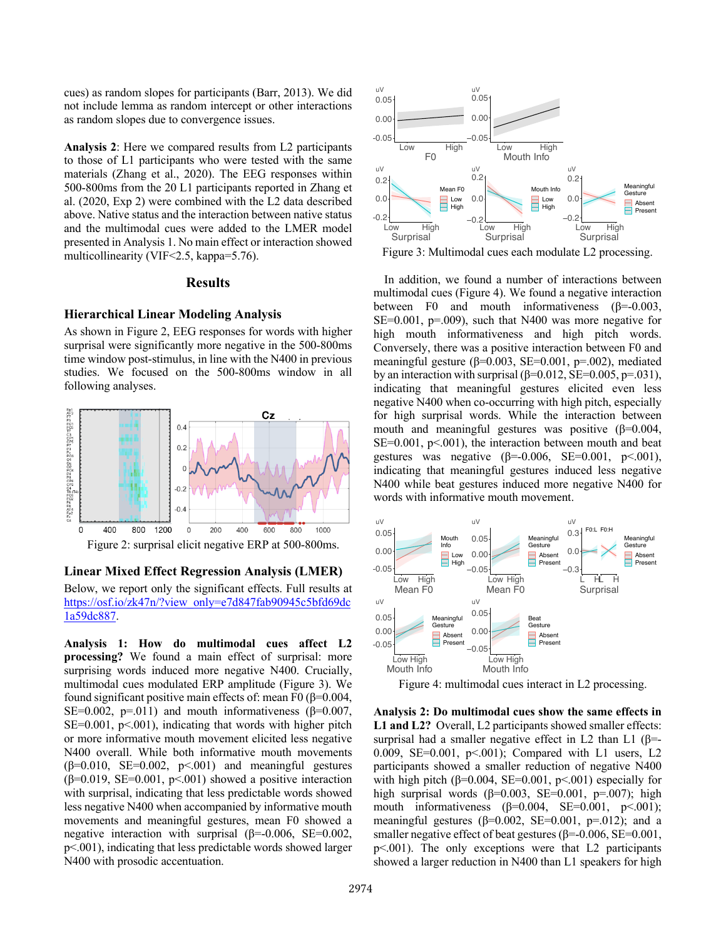cues) as random slopes for participants (Barr, 2013). We did not include lemma as random intercept or other interactions as random slopes due to convergence issues.

**Analysis 2**: Here we compared results from L2 participants to those of L1 participants who were tested with the same materials (Zhang et al., 2020). The EEG responses within 500-800ms from the 20 L1 participants reported in Zhang et al. (2020, Exp 2) were combined with the L2 data described above. Native status and the interaction between native status and the multimodal cues were added to the LMER model presented in Analysis 1. No main effect or interaction showed multicollinearity (VIF<2.5, kappa=5.76).

# **Results**

#### **Hierarchical Linear Modeling Analysis**

As shown in Figure 2, EEG responses for words with higher surprisal were significantly more negative in the 500-800ms time window post-stimulus, in line with the N400 in previous studies. We focused on the 500-800ms window in all following analyses.



**Linear Mixed Effect Regression Analysis (LMER)**

Below, we report only the significant effects. Full results at https://osf.io/zk47n/?view\_only=e7d847fab90945c5bfd69dc 1a59dc887.

**Analysis 1: How do multimodal cues affect L2 processing?** We found a main effect of surprisal: more surprising words induced more negative N400. Crucially, multimodal cues modulated ERP amplitude (Figure 3). We found significant positive main effects of: mean F0 ( $\beta$ =0.004, SE=0.002, p=.011) and mouth informativeness ( $\beta$ =0.007,  $SE=0.001$ ,  $p<0.001$ , indicating that words with higher pitch or more informative mouth movement elicited less negative N400 overall. While both informative mouth movements  $(\beta=0.010, \text{ SE}=0.002, \text{ p} < 0.001)$  and meaningful gestures ( $\beta$ =0.019, SE=0.001, p<.001) showed a positive interaction with surprisal, indicating that less predictable words showed less negative N400 when accompanied by informative mouth movements and meaningful gestures, mean F0 showed a negative interaction with surprisal  $(\beta = 0.006, \text{ SE} = 0.002,$ p<.001), indicating that less predictable words showed larger N400 with prosodic accentuation.



Figure 3: Multimodal cues each modulate L2 processing.

In addition, we found a number of interactions between multimodal cues (Figure 4). We found a negative interaction between F0 and mouth informativeness  $(\beta = 0.003,$ SE=0.001,  $p=0.009$ ), such that N400 was more negative for high mouth informativeness and high pitch words. Conversely, there was a positive interaction between F0 and meaningful gesture ( $\beta$ =0.003, SE=0.001, p=.002), mediated by an interaction with surprisal  $(\beta=0.012, SE=0.005, p=.031)$ , indicating that meaningful gestures elicited even less negative N400 when co-occurring with high pitch, especially for high surprisal words. While the interaction between mouth and meaningful gestures was positive  $(\beta=0.004,$  $SE=0.001$ ,  $p<.001$ ), the interaction between mouth and beat gestures was negative ( $β=0.006$ , SE=0.001, p<.001), indicating that meaningful gestures induced less negative N400 while beat gestures induced more negative N400 for words with informative mouth movement.



Figure 4: multimodal cues interact in L2 processing.

**Analysis 2: Do multimodal cues show the same effects in L1 and L2?** Overall, L2 participants showed smaller effects: surprisal had a smaller negative effect in L2 than L1 ( $\beta$ =-0.009, SE=0.001,  $p<0.01$ ; Compared with L1 users, L2 participants showed a smaller reduction of negative N400 with high pitch ( $\beta$ =0.004, SE=0.001, p<.001) especially for high surprisal words ( $\beta$ =0.003, SE=0.001, p=.007); high mouth informativeness  $(\beta=0.004, \text{ SE}=0.001, \text{ p} < 0.001);$ meaningful gestures ( $\beta$ =0.002, SE=0.001, p=.012); and a smaller negative effect of beat gestures ( $\beta$ =-0.006, SE=0.001, p<.001). The only exceptions were that L2 participants showed a larger reduction in N400 than L1 speakers for high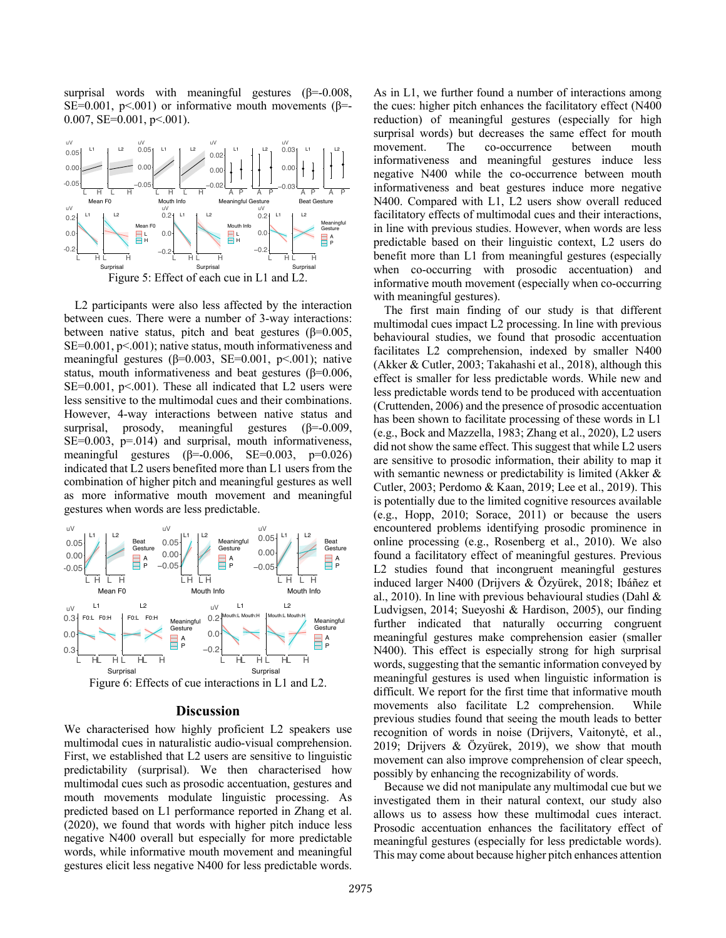surprisal words with meaningful gestures  $(\beta = 0.008,$ SE=0.001,  $p<0.001$ ) or informative mouth movements ( $\beta$ = 0.007,  $SE=0.001$ ,  $p<0.001$ ).



L2 participants were also less affected by the interaction between cues. There were a number of 3-way interactions: between native status, pitch and beat gestures ( $\beta$ =0.005, SE=0.001, p<.001); native status, mouth informativeness and meaningful gestures ( $\beta$ =0.003, SE=0.001, p<.001); native status, mouth informativeness and beat gestures (β=0.006,  $SE=0.001$ ,  $p<0.001$ ). These all indicated that L2 users were less sensitive to the multimodal cues and their combinations. However, 4-way interactions between native status and surprisal, prosody, meaningful gestures  $(\beta = 0.009,$  $SE=0.003$ ,  $p=.014$ ) and surprisal, mouth informativeness, meaningful gestures ( $\beta$ =-0.006, SE=0.003, p=0.026) indicated that L2 users benefited more than L1 users from the combination of higher pitch and meaningful gestures as well as more informative mouth movement and meaningful gestures when words are less predictable.



#### **Discussion**

We characterised how highly proficient L2 speakers use multimodal cues in naturalistic audio-visual comprehension. First, we established that L2 users are sensitive to linguistic predictability (surprisal). We then characterised how multimodal cues such as prosodic accentuation, gestures and mouth movements modulate linguistic processing. As predicted based on L1 performance reported in Zhang et al. (2020), we found that words with higher pitch induce less negative N400 overall but especially for more predictable words, while informative mouth movement and meaningful gestures elicit less negative N400 for less predictable words. As in L1, we further found a number of interactions among the cues: higher pitch enhances the facilitatory effect (N400 reduction) of meaningful gestures (especially for high surprisal words) but decreases the same effect for mouth movement. The co-occurrence between mouth informativeness and meaningful gestures induce less negative N400 while the co-occurrence between mouth informativeness and beat gestures induce more negative N400. Compared with L1, L2 users show overall reduced facilitatory effects of multimodal cues and their interactions, in line with previous studies. However, when words are less predictable based on their linguistic context, L2 users do benefit more than L1 from meaningful gestures (especially when co-occurring with prosodic accentuation) and informative mouth movement (especially when co-occurring with meaningful gestures).

The first main finding of our study is that different multimodal cues impact L2 processing. In line with previous behavioural studies, we found that prosodic accentuation facilitates L2 comprehension, indexed by smaller N400 (Akker & Cutler, 2003; Takahashi et al., 2018), although this effect is smaller for less predictable words. While new and less predictable words tend to be produced with accentuation (Cruttenden, 2006) and the presence of prosodic accentuation has been shown to facilitate processing of these words in L1 (e.g., Bock and Mazzella, 1983; Zhang et al., 2020), L2 users did not show the same effect. This suggest that while L2 users are sensitive to prosodic information, their ability to map it with semantic newness or predictability is limited (Akker & Cutler, 2003; Perdomo & Kaan, 2019; Lee et al., 2019). This is potentially due to the limited cognitive resources available (e.g., Hopp, 2010; Sorace, 2011) or because the users encountered problems identifying prosodic prominence in online processing (e.g., Rosenberg et al., 2010). We also found a facilitatory effect of meaningful gestures. Previous L<sub>2</sub> studies found that incongruent meaningful gestures induced larger N400 (Drijvers & Özyürek, 2018; Ibáñez et al., 2010). In line with previous behavioural studies (Dahl & Ludvigsen, 2014; Sueyoshi & Hardison, 2005), our finding further indicated that naturally occurring congruent meaningful gestures make comprehension easier (smaller N400). This effect is especially strong for high surprisal words, suggesting that the semantic information conveyed by meaningful gestures is used when linguistic information is difficult. We report for the first time that informative mouth movements also facilitate L2 comprehension. While previous studies found that seeing the mouth leads to better recognition of words in noise (Drijvers, Vaitonytė, et al., 2019; Drijvers & Özyürek, 2019), we show that mouth movement can also improve comprehension of clear speech, possibly by enhancing the recognizability of words.

Because we did not manipulate any multimodal cue but we investigated them in their natural context, our study also allows us to assess how these multimodal cues interact. Prosodic accentuation enhances the facilitatory effect of meaningful gestures (especially for less predictable words). This may come about because higher pitch enhances attention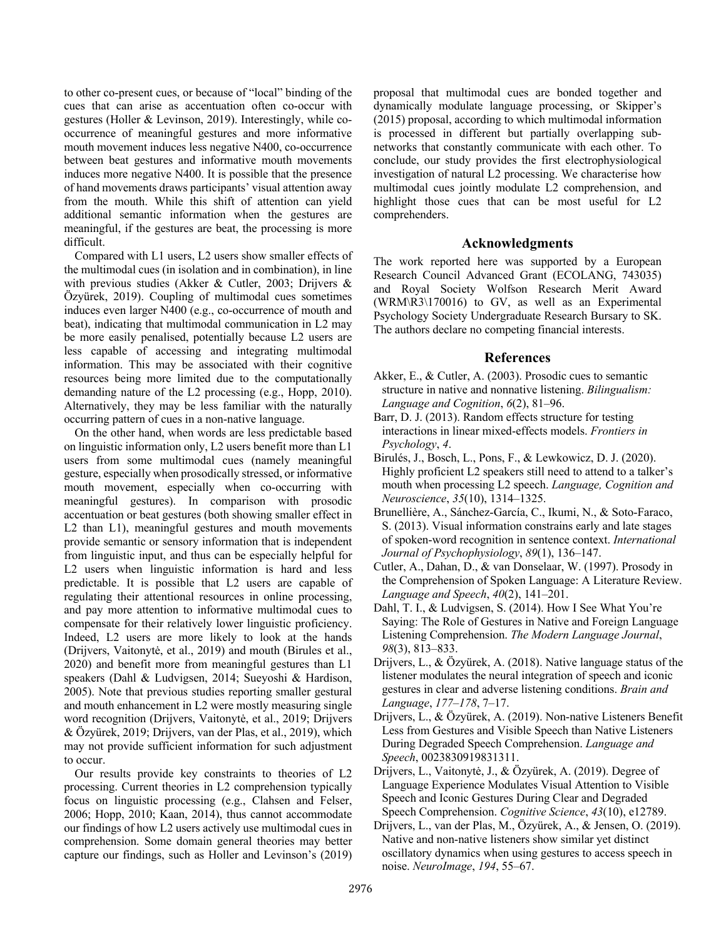to other co-present cues, or because of "local" binding of the cues that can arise as accentuation often co-occur with gestures (Holler & Levinson, 2019). Interestingly, while cooccurrence of meaningful gestures and more informative mouth movement induces less negative N400, co-occurrence between beat gestures and informative mouth movements induces more negative N400. It is possible that the presence of hand movements draws participants' visual attention away from the mouth. While this shift of attention can yield additional semantic information when the gestures are meaningful, if the gestures are beat, the processing is more difficult.

Compared with L1 users, L2 users show smaller effects of the multimodal cues (in isolation and in combination), in line with previous studies (Akker & Cutler, 2003; Drijvers & Özyürek, 2019). Coupling of multimodal cues sometimes induces even larger N400 (e.g., co-occurrence of mouth and beat), indicating that multimodal communication in L2 may be more easily penalised, potentially because L2 users are less capable of accessing and integrating multimodal information. This may be associated with their cognitive resources being more limited due to the computationally demanding nature of the L2 processing (e.g., Hopp, 2010). Alternatively, they may be less familiar with the naturally occurring pattern of cues in a non-native language.

On the other hand, when words are less predictable based on linguistic information only, L2 users benefit more than L1 users from some multimodal cues (namely meaningful gesture, especially when prosodically stressed, or informative mouth movement, especially when co-occurring with meaningful gestures). In comparison with prosodic accentuation or beat gestures (both showing smaller effect in L2 than L1), meaningful gestures and mouth movements provide semantic or sensory information that is independent from linguistic input, and thus can be especially helpful for L2 users when linguistic information is hard and less predictable. It is possible that L2 users are capable of regulating their attentional resources in online processing, and pay more attention to informative multimodal cues to compensate for their relatively lower linguistic proficiency. Indeed, L2 users are more likely to look at the hands (Drijvers, Vaitonytė, et al., 2019) and mouth (Birules et al., 2020) and benefit more from meaningful gestures than L1 speakers (Dahl & Ludvigsen, 2014; Sueyoshi & Hardison, 2005). Note that previous studies reporting smaller gestural and mouth enhancement in L2 were mostly measuring single word recognition (Drijvers, Vaitonytė, et al., 2019; Drijvers & Özyürek, 2019; Drijvers, van der Plas, et al., 2019), which may not provide sufficient information for such adjustment to occur.

Our results provide key constraints to theories of L2 processing. Current theories in L2 comprehension typically focus on linguistic processing (e.g., Clahsen and Felser, 2006; Hopp, 2010; Kaan, 2014), thus cannot accommodate our findings of how L2 users actively use multimodal cues in comprehension. Some domain general theories may better capture our findings, such as Holler and Levinson's (2019) proposal that multimodal cues are bonded together and dynamically modulate language processing, or Skipper's (2015) proposal, according to which multimodal information is processed in different but partially overlapping subnetworks that constantly communicate with each other. To conclude, our study provides the first electrophysiological investigation of natural L2 processing. We characterise how multimodal cues jointly modulate L2 comprehension, and highlight those cues that can be most useful for L2 comprehenders.

### **Acknowledgments**

The work reported here was supported by a European Research Council Advanced Grant (ECOLANG, 743035) and Royal Society Wolfson Research Merit Award (WRM\R3\170016) to GV, as well as an Experimental Psychology Society Undergraduate Research Bursary to SK. The authors declare no competing financial interests.

#### **References**

- Akker, E., & Cutler, A. (2003). Prosodic cues to semantic structure in native and nonnative listening. *Bilingualism: Language and Cognition*, *6*(2), 81–96.
- Barr, D. J. (2013). Random effects structure for testing interactions in linear mixed-effects models. *Frontiers in Psychology*, *4*.
- Birulés, J., Bosch, L., Pons, F., & Lewkowicz, D. J. (2020). Highly proficient L2 speakers still need to attend to a talker's mouth when processing L2 speech. *Language, Cognition and Neuroscience*, *35*(10), 1314–1325.
- Brunellière, A., Sánchez-García, C., Ikumi, N., & Soto-Faraco, S. (2013). Visual information constrains early and late stages of spoken-word recognition in sentence context. *International Journal of Psychophysiology*, *89*(1), 136–147.
- Cutler, A., Dahan, D., & van Donselaar, W. (1997). Prosody in the Comprehension of Spoken Language: A Literature Review. *Language and Speech*, *40*(2), 141–201.
- Dahl, T. I., & Ludvigsen, S. (2014). How I See What You're Saying: The Role of Gestures in Native and Foreign Language Listening Comprehension. *The Modern Language Journal*, *98*(3), 813–833.
- Drijvers, L., & Özyürek, A. (2018). Native language status of the listener modulates the neural integration of speech and iconic gestures in clear and adverse listening conditions. *Brain and Language*, *177–178*, 7–17.
- Drijvers, L., & Özyürek, A. (2019). Non-native Listeners Benefit Less from Gestures and Visible Speech than Native Listeners During Degraded Speech Comprehension. *Language and Speech*, 0023830919831311.
- Drijvers, L., Vaitonytė, J., & Özyürek, A. (2019). Degree of Language Experience Modulates Visual Attention to Visible Speech and Iconic Gestures During Clear and Degraded Speech Comprehension. *Cognitive Science*, *43*(10), e12789.
- Drijvers, L., van der Plas, M., Özyürek, A., & Jensen, O. (2019). Native and non-native listeners show similar yet distinct oscillatory dynamics when using gestures to access speech in noise. *NeuroImage*, *194*, 55–67.